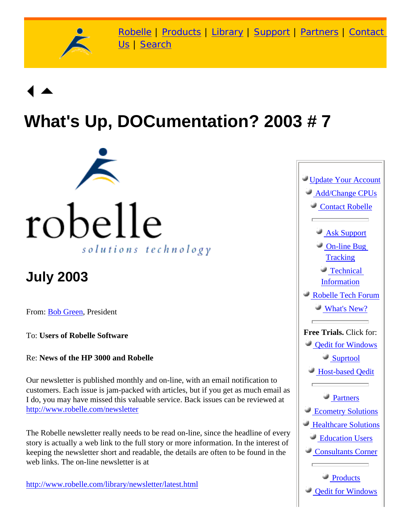

[Robelle](http://www.robelle.com/) | [Products](http://www.robelle.com/products/) | [Library](http://www.robelle.com/library/) | [Support](http://www.robelle.com/support/) | [Partners](http://www.robelle.com/partners/) | [Contact](http://www.robelle.com/contactus.html) [Us](http://www.robelle.com/contactus.html) | [Search](http://www.robelle.com/AT-search.html)

# **What's Up, DOCumentation? 2003 # 7**



# **July 2003**

From: [Bob Green,](http://www.robelle.com/robelle.html#bob) President

To: **Users of Robelle Software**

Re: **News of the HP 3000 and Robelle**

Our newsletter is published monthly and on-line, with an email notification to customers. Each issue is jam-packed with articles, but if you get as much email as I do, you may have missed this valuable service. Back issues can be reviewed at <http://www.robelle.com/newsletter>

The Robelle newsletter really needs to be read on-line, since the headline of every story is actually a web link to the full story or more information. In the interest of keeping the newsletter short and readable, the details are often to be found in the web links. The on-line newsletter is at

[http://www.robelle.com/library/newsletter/latest.html](http://www.robelle.com/newsletter/latest.html)

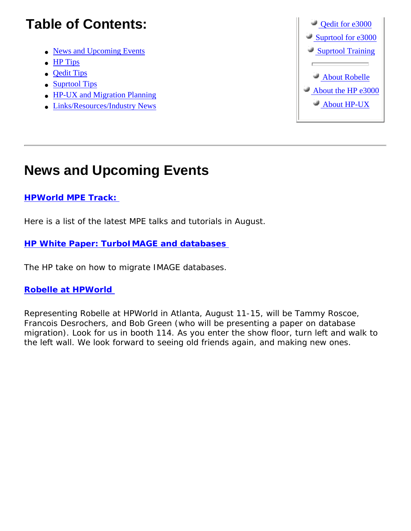# **Table of Contents:**

- [News and Upcoming Events](http://www.robelle.com/library/newsletter/w2003-07.html#news)
- [HP Tips](http://www.robelle.com/library/newsletter/w2003-07.html#hp)
- [Qedit Tips](http://www.robelle.com/library/newsletter/w2003-07.html#qedit)
- [Suprtool Tips](http://www.robelle.com/library/newsletter/w2003-07.html#suprtool)
- [HP-UX and Migration Planning](http://www.robelle.com/library/newsletter/w2003-07.html#ux)
- [Links/Resources/Industry News](http://www.robelle.com/library/newsletter/w2003-07.html#links)



## **News and Upcoming Events**

## **[HPWorld MPE Track:](http://www.hpworld2003.com/scps/guides/track.jsp?TRACK_ID=2410)**

Here is a list of the latest MPE talks and tutorials in August.

## **[HP White Paper: TurboIMAGE and databases](http://www.hp.com/products1/evolution/e3000/download/turboimage_db.pdf)**

The HP take on how to migrate IMAGE databases.

## **[Robelle at HPWorld](http://www.robelle.com/events.html#hpworld2003)**

Representing Robelle at HPWorld in Atlanta, August 11-15, will be Tammy Roscoe, Francois Desrochers, and Bob Green (who will be presenting a paper on database migration). Look for us in booth 114. As you enter the show floor, turn left and walk to the left wall. We look forward to seeing old friends again, and making new ones.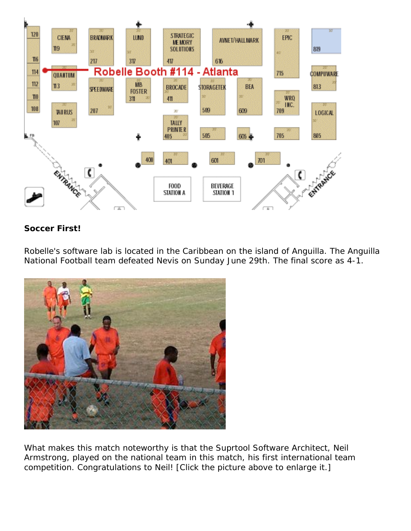

## **Soccer First!**

Robelle's software lab is located in the Caribbean on the island of Anguilla. The Anguilla National Football team defeated Nevis on Sunday June 29th. The final score as 4-1.



What makes this match noteworthy is that the Suprtool Software Architect, Neil Armstrong, played on the national team in this match, his first international team competition. Congratulations to Neil! [Click the picture above to enlarge it.]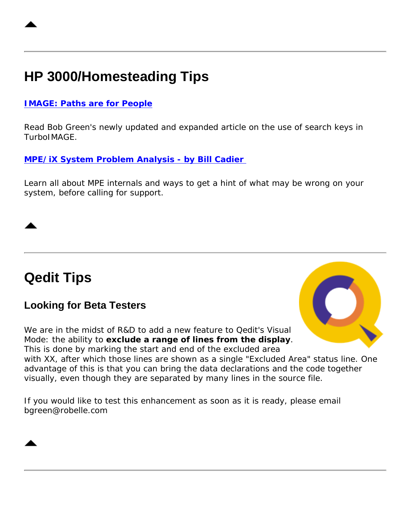# **HP 3000/Homesteading Tips**

## **[IMAGE: Paths are for People](http://www.robelle.com/tips/image.html#paths)**

Read Bob Green's newly updated and expanded article on the use of search keys in TurboIMAGE.

## **[MPE/iX System Problem Analysis - by Bill Cadier](http://jazz.external.hp.com/papers/SolSymposium_03/MPESysAnalysis.htm)**

Learn all about MPE internals and ways to get a hint of what may be wrong on your system, before calling for support.

## **Qedit Tips**

## **Looking for Beta Testers**

We are in the midst of R&D to add a new feature to Qedit's Visual Mode: the ability to **exclude a range of lines from the display**. This is done by marking the start and end of the excluded area



with XX, after which those lines are shown as a single "Excluded Area" status line. One advantage of this is that you can bring the data declarations and the code together visually, even though they are separated by many lines in the source file.

If you would like to test this enhancement as soon as it is ready, please email bgreen@robelle.com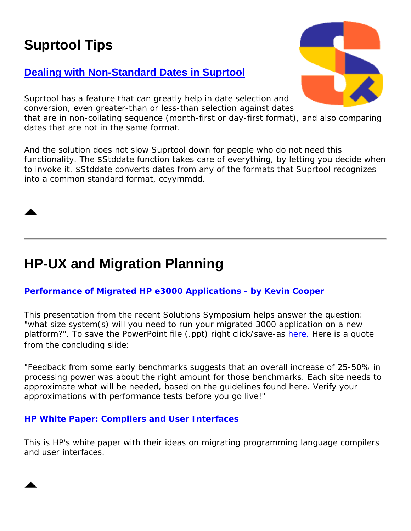# **Suprtool Tips**

## **[Dealing with Non-Standard Dates in Suprtool](http://www.robelle.com/support/suprtool/stddate.html)**

Suprtool has a feature that can greatly help in date selection and conversion, even greater-than or less-than selection against dates that are in non-collating sequence (month-first or day-first format), and also comparing dates that are not in the same format.

And the solution does not slow Suprtool down for people who do not need this functionality. The \$Stddate function takes care of everything, by letting you decide when to invoke it. \$Stddate converts dates from any of the formats that Suprtool recognizes into a common standard format, ccyymmdd.

# **HP-UX and Migration Planning**

## **[Performance of Migrated HP e3000 Applications - by Kevin Cooper](http://jazz.external.hp.com/papers/SolSymposium_03/ssmigperf_kc.htm)**

This presentation from the recent Solutions Symposium helps answer the question: "what size system(s) will you need to run your migrated 3000 application on a new platform?". To save the PowerPoint file (.ppt) right click/save-as [here.](http://jazz.external.hp.com/papers/SolSymposium_03/ssmigperf_kc.ppt) Here is a quote from the concluding slide:

"Feedback from some early benchmarks suggests that an overall increase of 25-50% in processing power was about the right amount for those benchmarks. Each site needs to approximate what will be needed, based on the guidelines found here. Verify your approximations with performance tests before you go live!"

## **[HP White Paper: Compilers and User Interfaces](http://www.hp.com/products1/mpeixservers/info_library/wp/comp_user_interface.pdf)**

This is HP's white paper with their ideas on migrating programming language compilers and user interfaces.



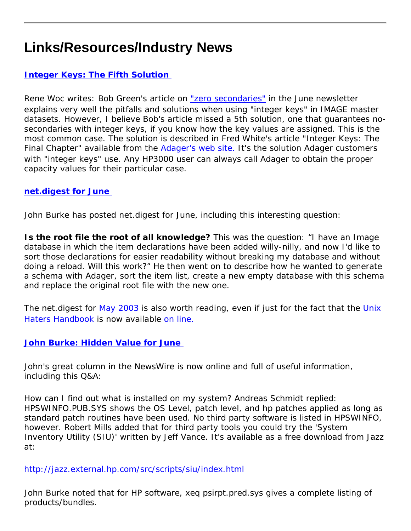# **Links/Resources/Industry News**

## **[Integer Keys: The Fifth Solution](http://www.adager.com/TechnicalPapersHTML/IntegerKeysFinalChapter.html)**

Rene Woc writes: Bob Green's article on ["zero secondaries"](http://www.robelle.com/tips/image.html#zerosecondaries) in the June newsletter explains very well the pitfalls and solutions when using "integer keys" in IMAGE master datasets. However, I believe Bob's article missed a 5th solution, one that guarantees nosecondaries with integer keys, if you know how the key values are assigned. This is the most common case. The solution is described in Fred White's article "Integer Keys: The Final Chapter" available from the [Adager's web site.](http://www.adager.com/TechnicalPapersHTML/IntegerKeysFinalChapter.html) It's the solution Adager customers with "integer keys" use. Any HP3000 user can always call Adager to obtain the proper capacity values for their particular case.

### **[net.digest for June](http://www.burke-consulting.com/net_digest/nd_2003_06.htm)**

John Burke has posted net.digest for June, including this interesting question:

**Is the root file the root of all knowledge?** This was the question: "I have an Image database in which the item declarations have been added willy-nilly, and now I'd like to sort those declarations for easier readability without breaking my database and without doing a reload. Will this work?" He then went on to describe how he wanted to generate a schema with Adager, sort the item list, create a new empty database with this schema and replace the original root file with the new one.

The net.digest for [May 2003](http://www.burke-consulting.com/net_digest/nd_2003_05.htm) is also worth reading, even if just for the fact that the *[Unix](http://www.robelle.com/smugbook/unixhate.html)  [Haters Handbook](http://www.robelle.com/smugbook/unixhate.html)* is now available [on line.](http://research.microsoft.com/~daniel/unix-haters.html)

## **[John Burke: Hidden Value for June](http://www.burke-consulting.com/hidden_value/HV_2003_06.htm)**

John's great column in the NewsWire is now online and full of useful information, including this Q&A:

How can I find out what is installed on my system? Andreas Schmidt replied: HPSWINFO.PUB.SYS shows the OS Level, patch level, and hp patches applied as long as standard patch routines have been used. No third party software is listed in HPSWINFO, however. Robert Mills added that for third party tools you could try the 'System Inventory Utility (SIU)' written by Jeff Vance. It's available as a free download from Jazz at:

### <http://jazz.external.hp.com/src/scripts/siu/index.html>

John Burke noted that for HP software, xeq psirpt.pred.sys gives a complete listing of products/bundles.